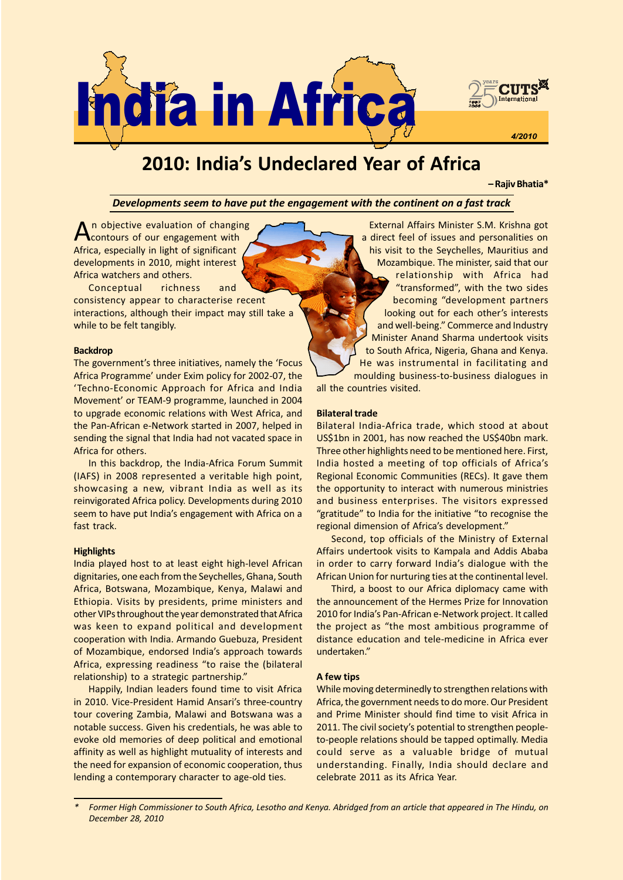

# 2010: India's Undeclared Year of Africa

Rajiv Bhatia\*

Developments seem to have put the engagement with the continent on a fast track

An objective evaluation of changing<br>contours of our engagement with Africa, especially in light of significant developments in 2010, might interest Africa watchers and others.

Conceptual richness and consistency appear to characterise recent interactions, although their impact may still take a while to be felt tangibly.

## Backdrop

The government's three initiatives, namely the 'Focus Africa Programme' under Exim policy for 2002-07, the Techno-Economic Approach for Africa and India Movement' or TEAM-9 programme, launched in 2004 to upgrade economic relations with West Africa, and the Pan-African e-Network started in 2007, helped in sending the signal that India had not vacated space in Africa for others.

In this backdrop, the India-Africa Forum Summit (IAFS) in 2008 represented a veritable high point, showcasing a new, vibrant India as well as its reinvigorated Africa policy. Developments during 2010 seem to have put India's engagement with Africa on a fast track.

## **Highlights**

India played host to at least eight high-level African dignitaries, one each from the Seychelles, Ghana, South Africa, Botswana, Mozambique, Kenya, Malawi and Ethiopia. Visits by presidents, prime ministers and other VIPs throughout the year demonstrated that Africa was keen to expand political and development cooperation with India. Armando Guebuza, President of Mozambique, endorsed India's approach towards Africa, expressing readiness "to raise the (bilateral relationship) to a strategic partnership.

Happily, Indian leaders found time to visit Africa in 2010. Vice-President Hamid Ansari's three-country tour covering Zambia, Malawi and Botswana was a notable success. Given his credentials, he was able to evoke old memories of deep political and emotional affinity as well as highlight mutuality of interests and the need for expansion of economic cooperation, thus lending a contemporary character to age-old ties.

External Affairs Minister S.M. Krishna got a direct feel of issues and personalities on his visit to the Seychelles, Mauritius and Mozambique. The minister, said that our relationship with Africa had "transformed", with the two sides becoming "development partners looking out for each other's interests and well-being." Commerce and Industry Minister Anand Sharma undertook visits to South Africa, Nigeria, Ghana and Kenya. He was instrumental in facilitating and moulding business-to-business dialogues in all the countries visited.

#### Bilateral trade

Bilateral India-Africa trade, which stood at about US\$1bn in 2001, has now reached the US\$40bn mark. Three other highlights need to be mentioned here. First, India hosted a meeting of top officials of Africa's Regional Economic Communities (RECs). It gave them the opportunity to interact with numerous ministries and business enterprises. The visitors expressed "gratitude" to India for the initiative "to recognise the regional dimension of Africa's development."

Second, top officials of the Ministry of External Affairs undertook visits to Kampala and Addis Ababa in order to carry forward India's dialogue with the African Union for nurturing ties at the continental level.

Third, a boost to our Africa diplomacy came with the announcement of the Hermes Prize for Innovation 2010 for India's Pan-African e-Network project. It called the project as "the most ambitious programme of distance education and tele-medicine in Africa ever undertaken.

#### A few tips

While moving determinedly to strengthen relations with Africa, the government needs to do more. Our President and Prime Minister should find time to visit Africa in 2011. The civil society's potential to strengthen peopleto-people relations should be tapped optimally. Media could serve as a valuable bridge of mutual understanding. Finally, India should declare and celebrate 2011 as its Africa Year.

Former High Commissioner to South Africa, Lesotho and Kenya. Abridged from an article that appeared in The Hindu, on December 28, 2010